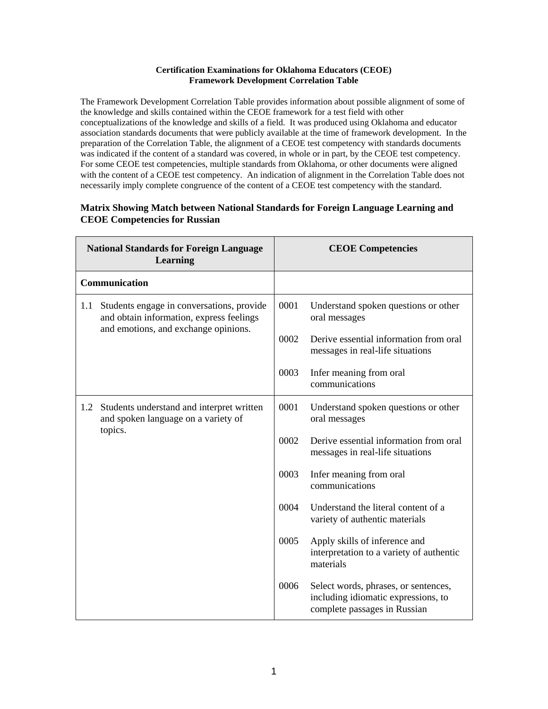## **Certification Examinations for Oklahoma Educators (CEOE) Framework Development Correlation Table**

The Framework Development Correlation Table provides information about possible alignment of some of the knowledge and skills contained within the CEOE framework for a test field with other conceptualizations of the knowledge and skills of a field. It was produced using Oklahoma and educator association standards documents that were publicly available at the time of framework development. In the preparation of the Correlation Table, the alignment of a CEOE test competency with standards documents was indicated if the content of a standard was covered, in whole or in part, by the CEOE test competency. For some CEOE test competencies, multiple standards from Oklahoma, or other documents were aligned with the content of a CEOE test competency. An indication of alignment in the Correlation Table does not necessarily imply complete congruence of the content of a CEOE test competency with the standard.

## **National Standards for Foreign Language Learning CEOE Competencies Communication** 1.1 Students engage in conversations, provide and obtain information, express feelings and emotions, and exchange opinions. 0001 Understand spoken questions or other oral messages 0002 Derive essential information from oral messages in real-life situations 0003 Infer meaning from oral communications 1.2 Students understand and interpret written 0001 Understand spoken questions or other

## **Matrix Showing Match between National Standards for Foreign Language Learning and CEOE Competencies for Russian**

|     |                                                                                             | 0003 | Infer meaning from oral<br>communications                                                                   |
|-----|---------------------------------------------------------------------------------------------|------|-------------------------------------------------------------------------------------------------------------|
| 1.2 | Students understand and interpret written<br>and spoken language on a variety of<br>topics. | 0001 | Understand spoken questions or other<br>oral messages                                                       |
|     |                                                                                             | 0002 | Derive essential information from oral<br>messages in real-life situations                                  |
|     |                                                                                             | 0003 | Infer meaning from oral<br>communications                                                                   |
|     |                                                                                             | 0004 | Understand the literal content of a<br>variety of authentic materials                                       |
|     |                                                                                             | 0005 | Apply skills of inference and<br>interpretation to a variety of authentic<br>materials                      |
|     |                                                                                             | 0006 | Select words, phrases, or sentences,<br>including idiomatic expressions, to<br>complete passages in Russian |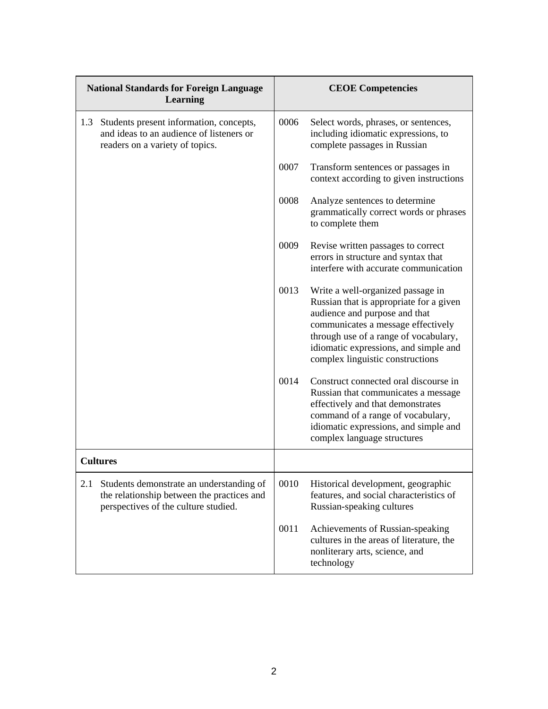| <b>National Standards for Foreign Language</b><br><b>Learning</b>                                                                     |      | <b>CEOE Competencies</b>                                                                                                                                                                                                                                                  |  |
|---------------------------------------------------------------------------------------------------------------------------------------|------|---------------------------------------------------------------------------------------------------------------------------------------------------------------------------------------------------------------------------------------------------------------------------|--|
| Students present information, concepts,<br>1.3<br>and ideas to an audience of listeners or<br>readers on a variety of topics.         | 0006 | Select words, phrases, or sentences,<br>including idiomatic expressions, to<br>complete passages in Russian                                                                                                                                                               |  |
|                                                                                                                                       | 0007 | Transform sentences or passages in<br>context according to given instructions                                                                                                                                                                                             |  |
|                                                                                                                                       | 0008 | Analyze sentences to determine<br>grammatically correct words or phrases<br>to complete them                                                                                                                                                                              |  |
|                                                                                                                                       | 0009 | Revise written passages to correct<br>errors in structure and syntax that<br>interfere with accurate communication                                                                                                                                                        |  |
|                                                                                                                                       | 0013 | Write a well-organized passage in<br>Russian that is appropriate for a given<br>audience and purpose and that<br>communicates a message effectively<br>through use of a range of vocabulary,<br>idiomatic expressions, and simple and<br>complex linguistic constructions |  |
|                                                                                                                                       | 0014 | Construct connected oral discourse in<br>Russian that communicates a message<br>effectively and that demonstrates<br>command of a range of vocabulary,<br>idiomatic expressions, and simple and<br>complex language structures                                            |  |
| <b>Cultures</b>                                                                                                                       |      |                                                                                                                                                                                                                                                                           |  |
| 2.1<br>Students demonstrate an understanding of<br>the relationship between the practices and<br>perspectives of the culture studied. | 0010 | Historical development, geographic<br>features, and social characteristics of<br>Russian-speaking cultures                                                                                                                                                                |  |
|                                                                                                                                       | 0011 | Achievements of Russian-speaking<br>cultures in the areas of literature, the<br>nonliterary arts, science, and<br>technology                                                                                                                                              |  |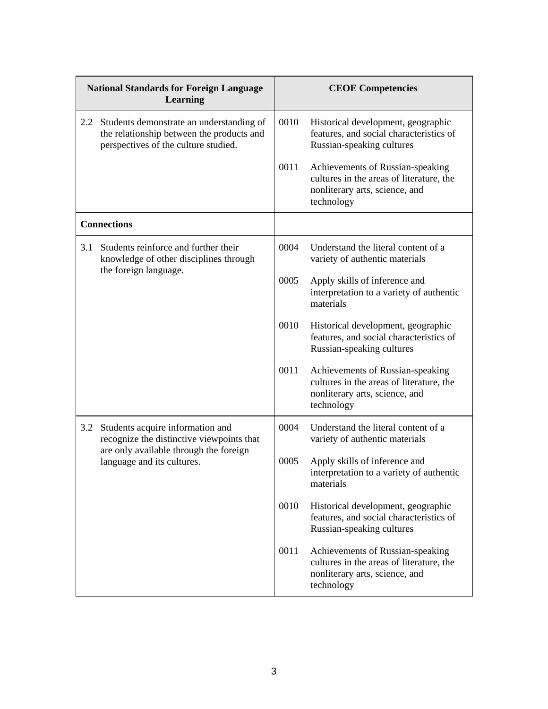| <b>National Standards for Foreign Language</b><br><b>Learning</b> |                                                                                                                                                       | <b>CEOE Competencies</b> |                                                                                                                              |
|-------------------------------------------------------------------|-------------------------------------------------------------------------------------------------------------------------------------------------------|--------------------------|------------------------------------------------------------------------------------------------------------------------------|
| $2.2^{\circ}$                                                     | Students demonstrate an understanding of<br>the relationship between the products and<br>perspectives of the culture studied.                         | 0010                     | Historical development, geographic<br>features, and social characteristics of<br>Russian-speaking cultures                   |
|                                                                   |                                                                                                                                                       | 0011                     | Achievements of Russian-speaking<br>cultures in the areas of literature, the<br>nonliterary arts, science, and<br>technology |
| <b>Connections</b>                                                |                                                                                                                                                       |                          |                                                                                                                              |
| 3.1                                                               | Students reinforce and further their<br>knowledge of other disciplines through<br>the foreign language.                                               | 0004                     | Understand the literal content of a<br>variety of authentic materials                                                        |
|                                                                   |                                                                                                                                                       | 0005                     | Apply skills of inference and<br>interpretation to a variety of authentic<br>materials                                       |
|                                                                   |                                                                                                                                                       | 0010                     | Historical development, geographic<br>features, and social characteristics of<br>Russian-speaking cultures                   |
|                                                                   |                                                                                                                                                       | 0011                     | Achievements of Russian-speaking<br>cultures in the areas of literature, the<br>nonliterary arts, science, and<br>technology |
| 3.2                                                               | Students acquire information and<br>recognize the distinctive viewpoints that<br>are only available through the foreign<br>language and its cultures. | 0004                     | Understand the literal content of a<br>variety of authentic materials                                                        |
|                                                                   |                                                                                                                                                       | 0005                     | Apply skills of inference and<br>interpretation to a variety of authentic<br>materials                                       |
|                                                                   |                                                                                                                                                       | 0010                     | Historical development, geographic<br>features, and social characteristics of<br>Russian-speaking cultures                   |
|                                                                   |                                                                                                                                                       | 0011                     | Achievements of Russian-speaking<br>cultures in the areas of literature, the<br>nonliterary arts, science, and<br>technology |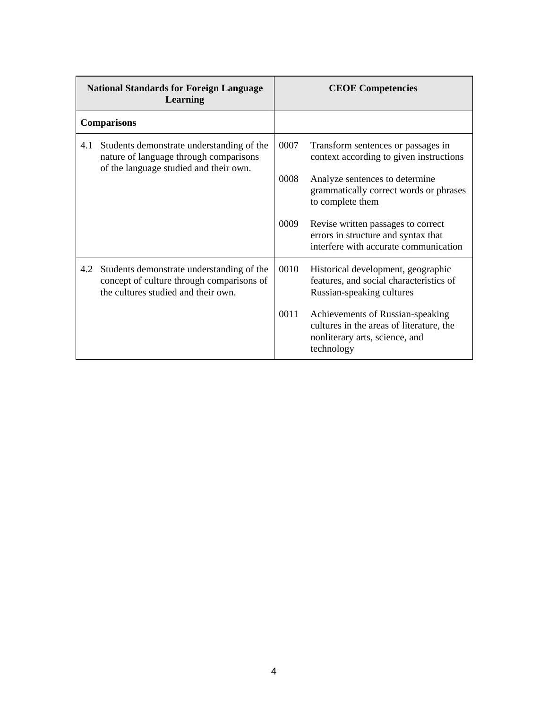| <b>National Standards for Foreign Language</b><br>Learning |                                                                                                                                   | <b>CEOE</b> Competencies |                                                                                                                              |
|------------------------------------------------------------|-----------------------------------------------------------------------------------------------------------------------------------|--------------------------|------------------------------------------------------------------------------------------------------------------------------|
|                                                            | <b>Comparisons</b>                                                                                                                |                          |                                                                                                                              |
|                                                            | 4.1 Students demonstrate understanding of the<br>nature of language through comparisons<br>of the language studied and their own. | 0007                     | Transform sentences or passages in<br>context according to given instructions                                                |
|                                                            |                                                                                                                                   | 0008                     | Analyze sentences to determine<br>grammatically correct words or phrases<br>to complete them                                 |
|                                                            |                                                                                                                                   | 0009                     | Revise written passages to correct<br>errors in structure and syntax that<br>interfere with accurate communication           |
|                                                            | 4.2 Students demonstrate understanding of the<br>concept of culture through comparisons of<br>the cultures studied and their own. | 0010                     | Historical development, geographic<br>features, and social characteristics of<br>Russian-speaking cultures                   |
|                                                            |                                                                                                                                   | 0011                     | Achievements of Russian-speaking<br>cultures in the areas of literature, the<br>nonliterary arts, science, and<br>technology |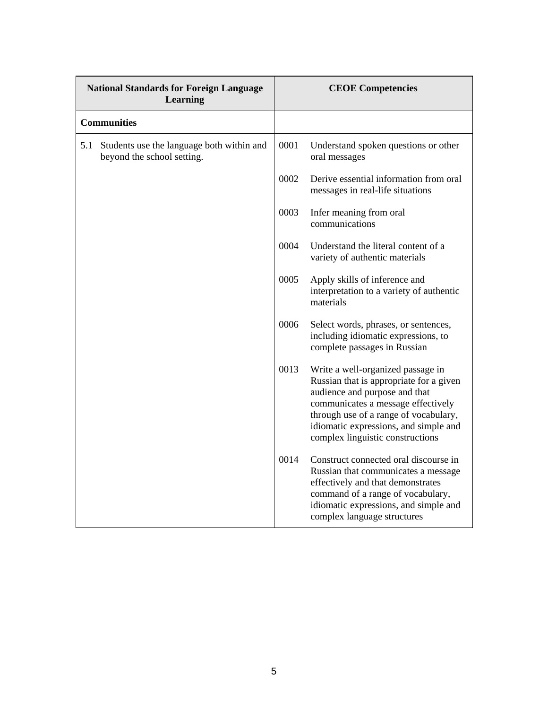| <b>National Standards for Foreign Language</b><br>Learning |                                                                         | <b>CEOE Competencies</b> |                                                                                                                                                                                                                                                                           |
|------------------------------------------------------------|-------------------------------------------------------------------------|--------------------------|---------------------------------------------------------------------------------------------------------------------------------------------------------------------------------------------------------------------------------------------------------------------------|
| <b>Communities</b>                                         |                                                                         |                          |                                                                                                                                                                                                                                                                           |
| 5.1                                                        | Students use the language both within and<br>beyond the school setting. | 0001                     | Understand spoken questions or other<br>oral messages                                                                                                                                                                                                                     |
|                                                            |                                                                         | 0002                     | Derive essential information from oral<br>messages in real-life situations                                                                                                                                                                                                |
|                                                            |                                                                         | 0003                     | Infer meaning from oral<br>communications                                                                                                                                                                                                                                 |
|                                                            |                                                                         | 0004                     | Understand the literal content of a<br>variety of authentic materials                                                                                                                                                                                                     |
|                                                            |                                                                         | 0005                     | Apply skills of inference and<br>interpretation to a variety of authentic<br>materials                                                                                                                                                                                    |
|                                                            |                                                                         | 0006                     | Select words, phrases, or sentences,<br>including idiomatic expressions, to<br>complete passages in Russian                                                                                                                                                               |
|                                                            |                                                                         | 0013                     | Write a well-organized passage in<br>Russian that is appropriate for a given<br>audience and purpose and that<br>communicates a message effectively<br>through use of a range of vocabulary,<br>idiomatic expressions, and simple and<br>complex linguistic constructions |
|                                                            |                                                                         | 0014                     | Construct connected oral discourse in<br>Russian that communicates a message<br>effectively and that demonstrates<br>command of a range of vocabulary,<br>idiomatic expressions, and simple and<br>complex language structures                                            |